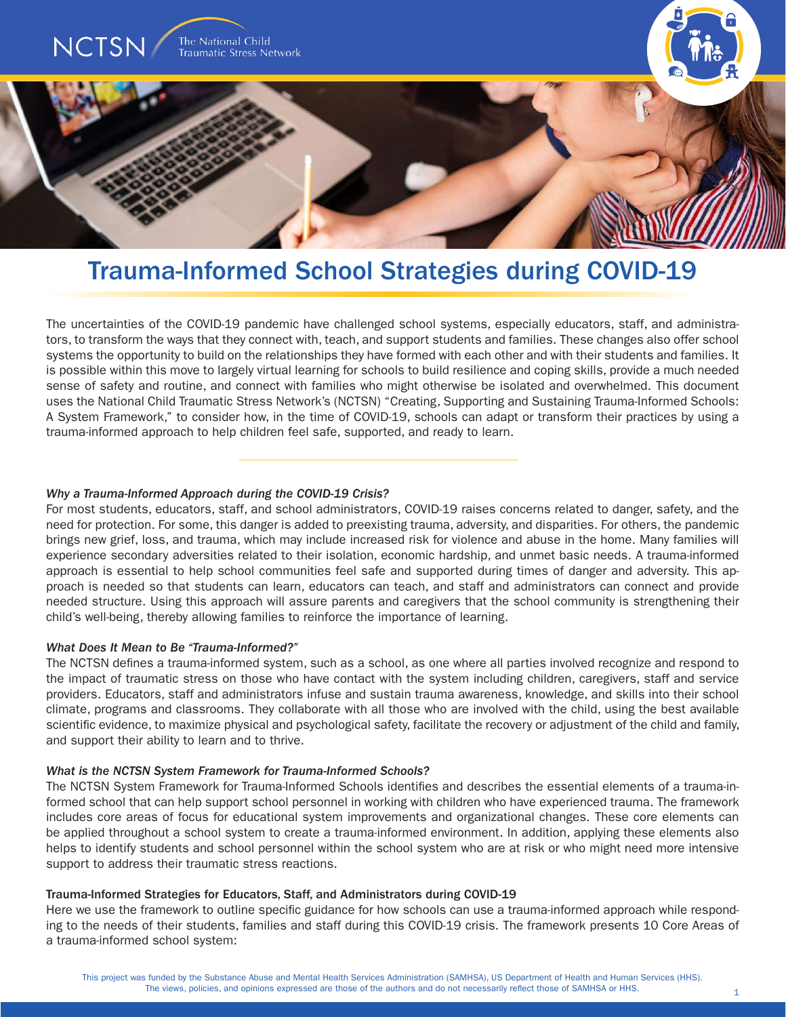

# Trauma-Informed School Strategies during COVID-19

The uncertainties of the COVID-19 pandemic have challenged school systems, especially educators, staff, and administrators, to transform the ways that they connect with, teach, and support students and families. These changes also offer school systems the opportunity to build on the relationships they have formed with each other and with their students and families. It is possible within this move to largely virtual learning for schools to build resilience and coping skills, provide a much needed sense of safety and routine, and connect with families who might otherwise be isolated and overwhelmed. This document uses the National Child Traumatic Stress Network's (NCTSN) "Creating, Supporting and Sustaining Trauma-Informed Schools: A System Framework," to consider how, in the time of COVID-19, schools can adapt or transform their practices by using a trauma-informed approach to help children feel safe, supported, and ready to learn.

# *Why a Trauma-Informed Approach during the COVID-19 Crisis?*

For most students, educators, staff, and school administrators, COVID-19 raises concerns related to danger, safety, and the need for protection. For some, this danger is added to preexisting trauma, adversity, and disparities. For others, the pandemic brings new grief, loss, and trauma, which may include increased risk for violence and abuse in the home. Many families will experience secondary adversities related to their isolation, economic hardship, and unmet basic needs. A trauma-informed approach is essential to help school communities feel safe and supported during times of danger and adversity. This approach is needed so that students can learn, educators can teach, and staff and administrators can connect and provide needed structure. Using this approach will assure parents and caregivers that the school community is strengthening their child's well-being, thereby allowing families to reinforce the importance of learning.

# *What Does It Mean to Be "Trauma-Informed?"*

The NCTSN defines a trauma-informed system, such as a school, as one where all parties involved recognize and respond to the impact of traumatic stress on those who have contact with the system including children, caregivers, staff and service providers. Educators, staff and administrators infuse and sustain trauma awareness, knowledge, and skills into their school climate, programs and classrooms. They collaborate with all those who are involved with the child, using the best available scientific evidence, to maximize physical and psychological safety, facilitate the recovery or adjustment of the child and family, and support their ability to learn and to thrive.

# *What is the NCTSN System Framework for Trauma-Informed Schools?*

The NCTSN System Framework for Trauma-Informed Schools identifies and describes the essential elements of a trauma-informed school that can help support school personnel in working with children who have experienced trauma. The framework includes core areas of focus for educational system improvements and organizational changes. These core elements can be applied throughout a school system to create a trauma-informed environment. In addition, applying these elements also helps to identify students and school personnel within the school system who are at risk or who might need more intensive support to address their traumatic stress reactions.

# Trauma-Informed Strategies for Educators, Staff, and Administrators during COVID-19

Here we use the framework to outline specific guidance for how schools can use a trauma-informed approach while responding to the needs of their students, families and staff during this COVID-19 crisis. The framework presents 10 Core Areas of a trauma-informed school system: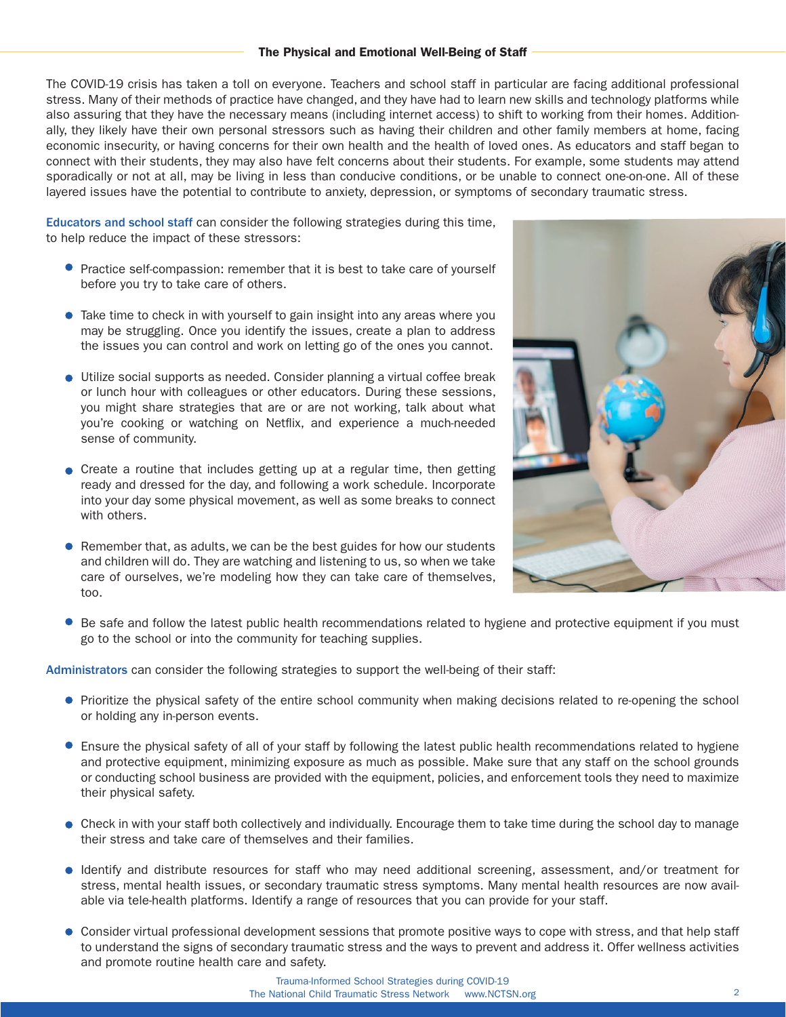# The Physical and Emotional Well-Being of Staff

The COVID-19 crisis has taken a toll on everyone. Teachers and school staff in particular are facing additional professional stress. Many of their methods of practice have changed, and they have had to learn new skills and technology platforms while also assuring that they have the necessary means (including internet access) to shift to working from their homes. Additionally, they likely have their own personal stressors such as having their children and other family members at home, facing economic insecurity, or having concerns for their own health and the health of loved ones. As educators and staff began to connect with their students, they may also have felt concerns about their students. For example, some students may attend sporadically or not at all, may be living in less than conducive conditions, or be unable to connect one-on-one. All of these layered issues have the potential to contribute to anxiety, depression, or symptoms of secondary traumatic stress.

Educators and school staff can consider the following strategies during this time, to help reduce the impact of these stressors:

- **Practice self-compassion: remember that it is best to take care of yourself** before you try to take care of others.
- Take time to check in with yourself to gain insight into any areas where you may be struggling. Once you identify the issues, create a plan to address the issues you can control and work on letting go of the ones you cannot.
- Utilize social supports as needed. Consider planning a virtual coffee break or lunch hour with colleagues or other educators. During these sessions, you might share strategies that are or are not working, talk about what you're cooking or watching on Netflix, and experience a much-needed sense of community.
- $\bullet$  Create a routine that includes getting up at a regular time, then getting ready and dressed for the day, and following a work schedule. Incorporate into your day some physical movement, as well as some breaks to connect with others.
- $\bullet$  Remember that, as adults, we can be the best guides for how our students and children will do. They are watching and listening to us, so when we take care of ourselves, we're modeling how they can take care of themselves, too.



Be safe and follow the latest public health recommendations related to hygiene and protective equipment if you must go to the school or into the community for teaching supplies.

Administrators can consider the following strategies to support the well-being of their staff:

- Prioritize the physical safety of the entire school community when making decisions related to re-opening the school or holding any in-person events.
- Ensure the physical safety of all of your staff by following the latest public health recommendations related to hygiene and protective equipment, minimizing exposure as much as possible. Make sure that any staff on the school grounds or conducting school business are provided with the equipment, policies, and enforcement tools they need to maximize their physical safety.
- Check in with your staff both collectively and individually. Encourage them to take time during the school day to manage their stress and take care of themselves and their families.
- Identify and distribute resources for staff who may need additional screening, assessment, and/or treatment for stress, mental health issues, or secondary traumatic stress symptoms. Many mental health resources are now available via tele-health platforms. Identify a range of resources that you can provide for your staff.
- Consider virtual professional development sessions that promote positive ways to cope with stress, and that help staff to understand the signs of secondary traumatic stress and the ways to prevent and address it. Offer wellness activities and promote routine health care and safety.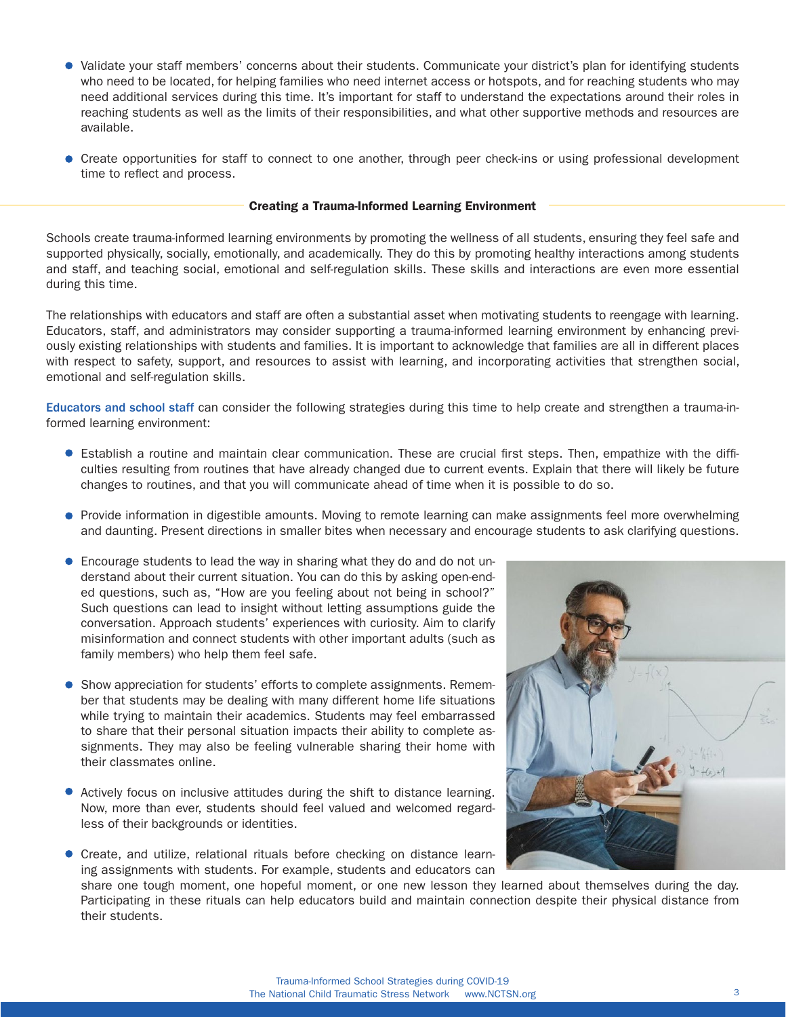- Validate your staff members' concerns about their students. Communicate your district's plan for identifying students who need to be located, for helping families who need internet access or hotspots, and for reaching students who may need additional services during this time. It's important for staff to understand the expectations around their roles in reaching students as well as the limits of their responsibilities, and what other supportive methods and resources are available.
- Create opportunities for staff to connect to one another, through peer check-ins or using professional development time to reflect and process.

# Creating a Trauma-Informed Learning Environment

Schools create trauma-informed learning environments by promoting the wellness of all students, ensuring they feel safe and supported physically, socially, emotionally, and academically. They do this by promoting healthy interactions among students and staff, and teaching social, emotional and self-regulation skills. These skills and interactions are even more essential during this time.

The relationships with educators and staff are often a substantial asset when motivating students to reengage with learning. Educators, staff, and administrators may consider supporting a trauma-informed learning environment by enhancing previously existing relationships with students and families. It is important to acknowledge that families are all in different places with respect to safety, support, and resources to assist with learning, and incorporating activities that strengthen social, emotional and self-regulation skills.

Educators and school staff can consider the following strategies during this time to help create and strengthen a trauma-informed learning environment:

- Establish a routine and maintain clear communication. These are crucial first steps. Then, empathize with the difficulties resulting from routines that have already changed due to current events. Explain that there will likely be future changes to routines, and that you will communicate ahead of time when it is possible to do so.
- Provide information in digestible amounts. Moving to remote learning can make assignments feel more overwhelming and daunting. Present directions in smaller bites when necessary and encourage students to ask clarifying questions.
- **Encourage students to lead the way in sharing what they do and do not un**derstand about their current situation. You can do this by asking open-ended questions, such as, "How are you feeling about not being in school?" Such questions can lead to insight without letting assumptions guide the conversation. Approach students' experiences with curiosity. Aim to clarify misinformation and connect students with other important adults (such as family members) who help them feel safe.
- Show appreciation for students' efforts to complete assignments. Remember that students may be dealing with many different home life situations while trying to maintain their academics. Students may feel embarrassed to share that their personal situation impacts their ability to complete assignments. They may also be feeling vulnerable sharing their home with their classmates online.
- Actively focus on inclusive attitudes during the shift to distance learning. Now, more than ever, students should feel valued and welcomed regardless of their backgrounds or identities.
- Create, and utilize, relational rituals before checking on distance learning assignments with students. For example, students and educators can



share one tough moment, one hopeful moment, or one new lesson they learned about themselves during the day. Participating in these rituals can help educators build and maintain connection despite their physical distance from their students.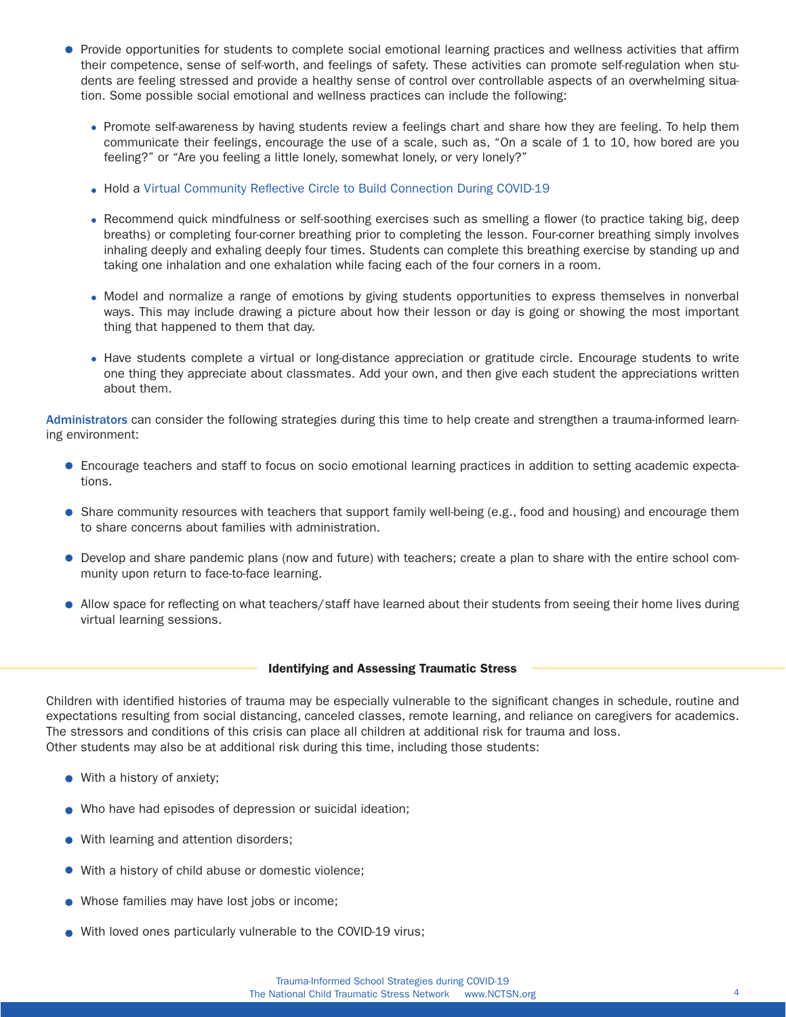- **•** Provide opportunities for students to complete social emotional learning practices and wellness activities that affirm their competence, sense of self-worth, and feelings of safety. These activities can promote self-regulation when students are feeling stressed and provide a healthy sense of control over controllable aspects of an overwhelming situation. Some possible social emotional and wellness practices can include the following:
	- Promote self-awareness by having students review a feelings chart and share how they are feeling. To help them communicate their feelings, encourage the use of a scale, such as, "On a scale of 1 to 10, how bored are you feeling?" or "Are you feeling a little lonely, somewhat lonely, or very lonely?"
	- Hold a [Virtual Community Reflective Circle to Build Connection During COVID-19](https://www.nctsn.org/sites/default/files/resources/fact-sheet/pfdl_recommendations_for_holding_a_virtual_community_circle_to_build_connection_during_covid-19.pdf)
	- Recommend quick mindfulness or self-soothing exercises such as smelling a flower (to practice taking big, deep breaths) or completing four-corner breathing prior to completing the lesson. Four-corner breathing simply involves inhaling deeply and exhaling deeply four times. Students can complete this breathing exercise by standing up and taking one inhalation and one exhalation while facing each of the four corners in a room.
	- Model and normalize a range of emotions by giving students opportunities to express themselves in nonverbal ways. This may include drawing a picture about how their lesson or day is going or showing the most important thing that happened to them that day.
	- Have students complete a virtual or long-distance appreciation or gratitude circle. Encourage students to write one thing they appreciate about classmates. Add your own, and then give each student the appreciations written about them.

Administrators can consider the following strategies during this time to help create and strengthen a trauma-informed learning environment:

- Encourage teachers and staff to focus on socio emotional learning practices in addition to setting academic expectations.
- Share community resources with teachers that support family well-being (e.g., food and housing) and encourage them to share concerns about families with administration.
- Develop and share pandemic plans (now and future) with teachers; create a plan to share with the entire school community upon return to face-to-face learning.
- Allow space for reflecting on what teachers/staff have learned about their students from seeing their home lives during virtual learning sessions.

# Identifying and Assessing Traumatic Stress

Children with identified histories of trauma may be especially vulnerable to the significant changes in schedule, routine and expectations resulting from social distancing, canceled classes, remote learning, and reliance on caregivers for academics. The stressors and conditions of this crisis can place all children at additional risk for trauma and loss. Other students may also be at additional risk during this time, including those students:

- With a history of anxiety;
- Who have had episodes of depression or suicidal ideation;
- **•** With learning and attention disorders;
- With a history of child abuse or domestic violence;
- Whose families may have lost jobs or income;
- With loved ones particularly vulnerable to the COVID-19 virus;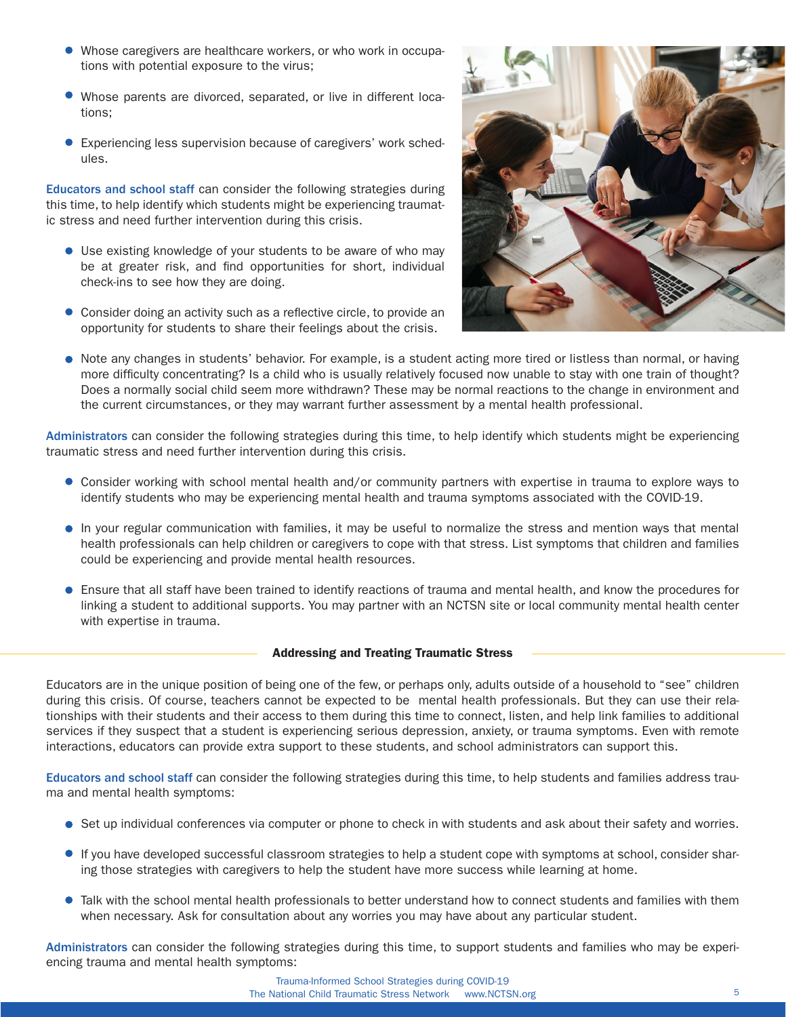- Whose caregivers are healthcare workers, or who work in occupations with potential exposure to the virus;
- Whose parents are divorced, separated, or live in different locations;
- **Experiencing less supervision because of caregivers' work sched**ules.

Educators and school staff can consider the following strategies during this time, to help identify which students might be experiencing traumatic stress and need further intervention during this crisis.

- Use existing knowledge of your students to be aware of who may be at greater risk, and find opportunities for short, individual check-ins to see how they are doing.
- Consider doing an activity such as a reflective circle, to provide an opportunity for students to share their feelings about the crisis.



• Note any changes in students' behavior. For example, is a student acting more tired or listless than normal, or having more difficulty concentrating? Is a child who is usually relatively focused now unable to stay with one train of thought? Does a normally social child seem more withdrawn? These may be normal reactions to the change in environment and the current circumstances, or they may warrant further assessment by a mental health professional.

Administrators can consider the following strategies during this time, to help identify which students might be experiencing traumatic stress and need further intervention during this crisis.

- Consider working with school mental health and/or community partners with expertise in trauma to explore ways to identify students who may be experiencing mental health and trauma symptoms associated with the COVID-19.
- In your regular communication with families, it may be useful to normalize the stress and mention ways that mental health professionals can help children or caregivers to cope with that stress. List symptoms that children and families could be experiencing and provide mental health resources.
- Ensure that all staff have been trained to identify reactions of trauma and mental health, and know the procedures for linking a student to additional supports. You may partner with an NCTSN site or local community mental health center with expertise in trauma.

# Addressing and Treating Traumatic Stress

Educators are in the unique position of being one of the few, or perhaps only, adults outside of a household to "see" children during this crisis. Of course, teachers cannot be expected to be mental health professionals. But they can use their relationships with their students and their access to them during this time to connect, listen, and help link families to additional services if they suspect that a student is experiencing serious depression, anxiety, or trauma symptoms. Even with remote interactions, educators can provide extra support to these students, and school administrators can support this.

Educators and school staff can consider the following strategies during this time, to help students and families address trauma and mental health symptoms:

- Set up individual conferences via computer or phone to check in with students and ask about their safety and worries.
- If you have developed successful classroom strategies to help a student cope with symptoms at school, consider sharing those strategies with caregivers to help the student have more success while learning at home.
- Talk with the school mental health professionals to better understand how to connect students and families with them when necessary. Ask for consultation about any worries you may have about any particular student.

Administrators can consider the following strategies during this time, to support students and families who may be experiencing trauma and mental health symptoms: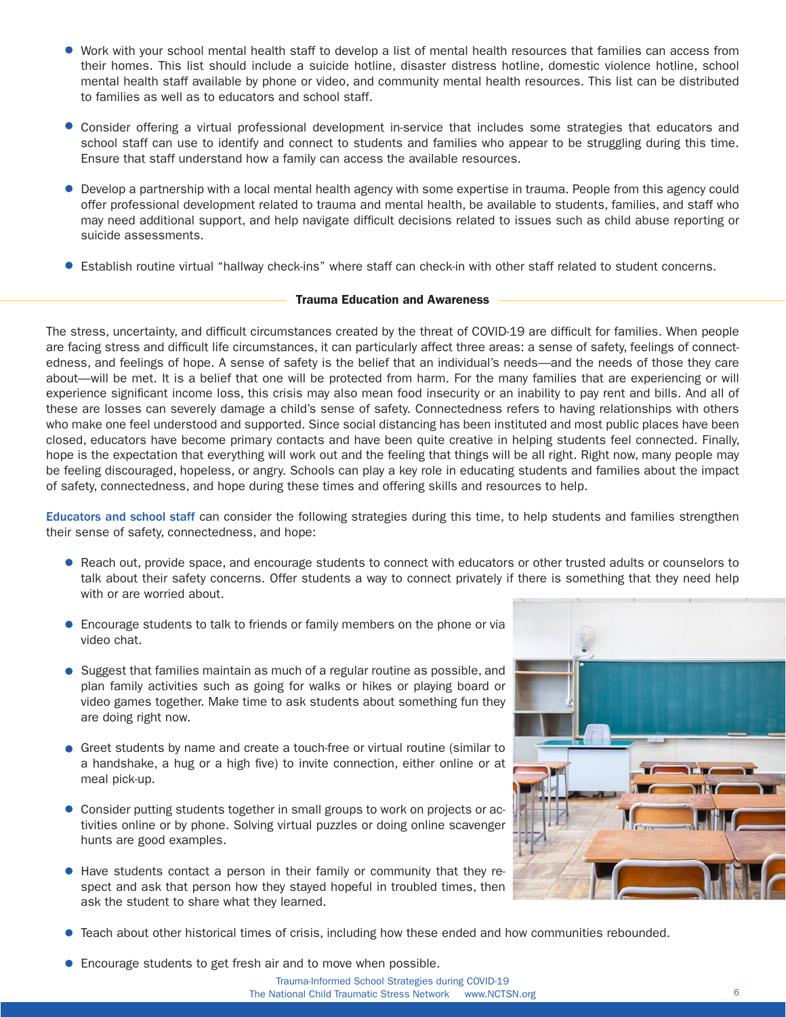- Work with your school mental health staff to develop a list of mental health resources that families can access from their homes. This list should include a suicide hotline, disaster distress hotline, domestic violence hotline, school mental health staff available by phone or video, and community mental health resources. This list can be distributed to families as well as to educators and school staff.
- Consider offering a virtual professional development in-service that includes some strategies that educators and school staff can use to identify and connect to students and families who appear to be struggling during this time. Ensure that staff understand how a family can access the available resources.
- Develop a partnership with a local mental health agency with some expertise in trauma. People from this agency could offer professional development related to trauma and mental health, be available to students, families, and staff who may need additional support, and help navigate difficult decisions related to issues such as child abuse reporting or suicide assessments.
- Establish routine virtual "hallway check-ins" where staff can check-in with other staff related to student concerns.

# Trauma Education and Awareness

The stress, uncertainty, and difficult circumstances created by the threat of COVID-19 are difficult for families. When people are facing stress and difficult life circumstances, it can particularly affect three areas: a sense of safety, feelings of connectedness, and feelings of hope. A sense of safety is the belief that an individual's needs—and the needs of those they care about—will be met. It is a belief that one will be protected from harm. For the many families that are experiencing or will experience significant income loss, this crisis may also mean food insecurity or an inability to pay rent and bills. And all of these are losses can severely damage a child's sense of safety. Connectedness refers to having relationships with others who make one feel understood and supported. Since social distancing has been instituted and most public places have been closed, educators have become primary contacts and have been quite creative in helping students feel connected. Finally, hope is the expectation that everything will work out and the feeling that things will be all right. Right now, many people may be feeling discouraged, hopeless, or angry. Schools can play a key role in educating students and families about the impact of safety, connectedness, and hope during these times and offering skills and resources to help.

Educators and school staff can consider the following strategies during this time, to help students and families strengthen their sense of safety, connectedness, and hope:

- Reach out, provide space, and encourage students to connect with educators or other trusted adults or counselors to talk about their safety concerns. Offer students a way to connect privately if there is something that they need help with or are worried about.
- **Encourage students to talk to friends or family members on the phone or via** video chat.
- Suggest that families maintain as much of a regular routine as possible, and plan family activities such as going for walks or hikes or playing board or video games together. Make time to ask students about something fun they are doing right now.
- Greet students by name and create a touch-free or virtual routine (similar to a handshake, a hug or a high five) to invite connection, either online or at meal pick-up.
- Consider putting students together in small groups to work on projects or activities online or by phone. Solving virtual puzzles or doing online scavenger hunts are good examples.
- Have students contact a person in their family or community that they respect and ask that person how they stayed hopeful in troubled times, then ask the student to share what they learned.



- Teach about other historical times of crisis, including how these ended and how communities rebounded.
- **Encourage students to get fresh air and to move when possible.**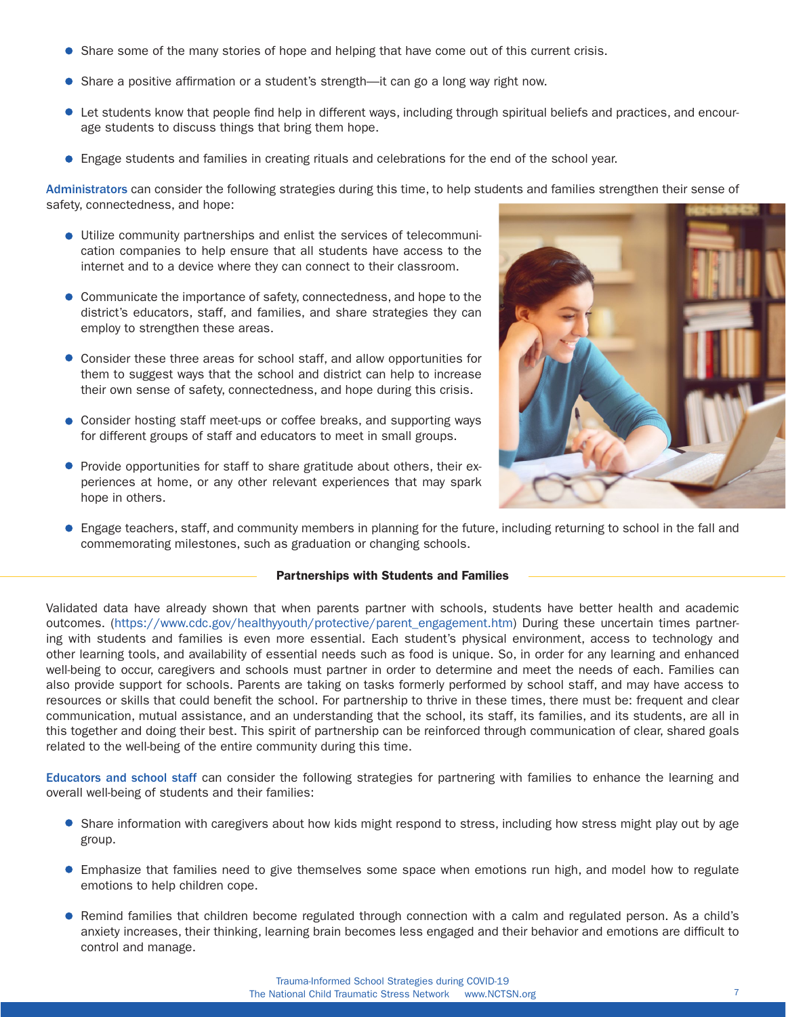- Share some of the many stories of hope and helping that have come out of this current crisis.
- Share a positive affirmation or a student's strength—it can go a long way right now.
- Let students know that people find help in different ways, including through spiritual beliefs and practices, and encourage students to discuss things that bring them hope.
- Engage students and families in creating rituals and celebrations for the end of the school year.

Administrators can consider the following strategies during this time, to help students and families strengthen their sense of safety, connectedness, and hope:

- Utilize community partnerships and enlist the services of telecommunication companies to help ensure that all students have access to the internet and to a device where they can connect to their classroom.
- **Communicate the importance of safety, connectedness, and hope to the** district's educators, staff, and families, and share strategies they can employ to strengthen these areas.
- Consider these three areas for school staff, and allow opportunities for them to suggest ways that the school and district can help to increase their own sense of safety, connectedness, and hope during this crisis.
- Consider hosting staff meet-ups or coffee breaks, and supporting ways for different groups of staff and educators to meet in small groups.
- **•** Provide opportunities for staff to share gratitude about others, their experiences at home, or any other relevant experiences that may spark hope in others.



Engage teachers, staff, and community members in planning for the future, including returning to school in the fall and commemorating milestones, such as graduation or changing schools.

### Partnerships with Students and Families

Validated data have already shown that when parents partner with schools, students have better health and academic outcomes. [\(https://www.cdc.gov/healthyyouth/protective/parent\\_engagement.htm\)](https://www.cdc.gov/healthyyouth/protective/parent_engagement.htm) During these uncertain times partnering with students and families is even more essential. Each student's physical environment, access to technology and other learning tools, and availability of essential needs such as food is unique. So, in order for any learning and enhanced well-being to occur, caregivers and schools must partner in order to determine and meet the needs of each. Families can also provide support for schools. Parents are taking on tasks formerly performed by school staff, and may have access to resources or skills that could benefit the school. For partnership to thrive in these times, there must be: frequent and clear communication, mutual assistance, and an understanding that the school, its staff, its families, and its students, are all in this together and doing their best. This spirit of partnership can be reinforced through communication of clear, shared goals related to the well-being of the entire community during this time.

Educators and school staff can consider the following strategies for partnering with families to enhance the learning and overall well-being of students and their families:

- Share information with caregivers about how kids might respond to stress, including how stress might play out by age group.
- Emphasize that families need to give themselves some space when emotions run high, and model how to regulate emotions to help children cope.
- Remind families that children become regulated through connection with a calm and regulated person. As a child's anxiety increases, their thinking, learning brain becomes less engaged and their behavior and emotions are difficult to control and manage.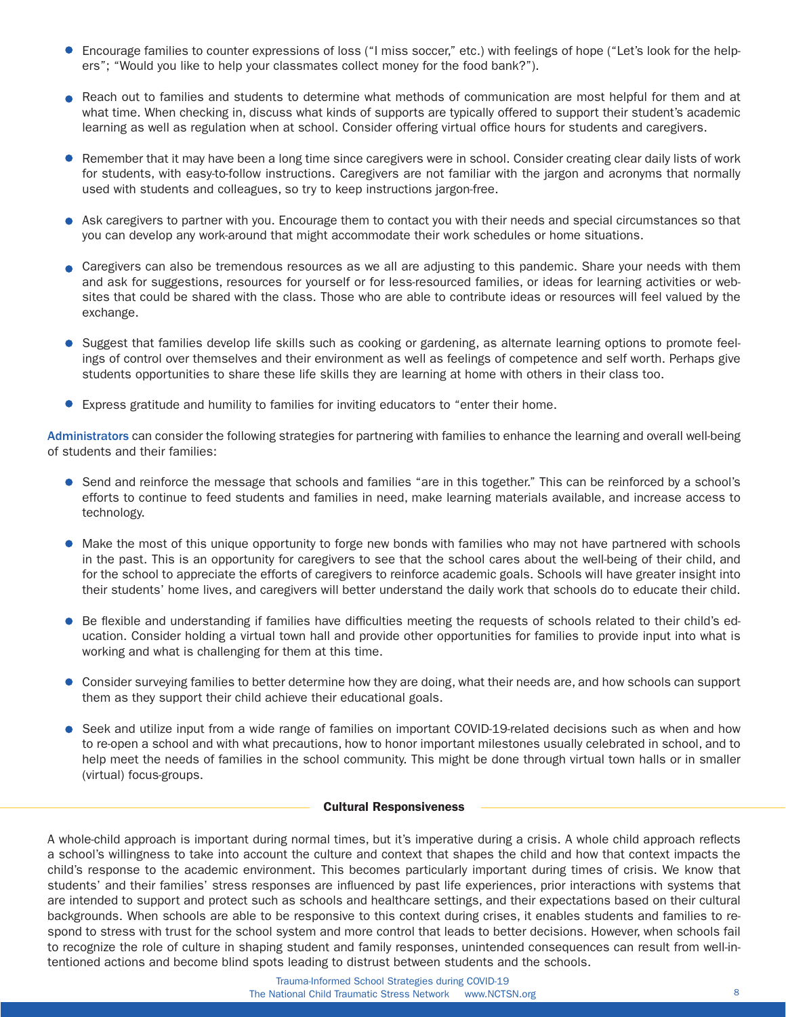- Encourage families to counter expressions of loss ("I miss soccer," etc.) with feelings of hope ("Let's look for the helpers"; "Would you like to help your classmates collect money for the food bank?").
- Reach out to families and students to determine what methods of communication are most helpful for them and at what time. When checking in, discuss what kinds of supports are typically offered to support their student's academic learning as well as regulation when at school. Consider offering virtual office hours for students and caregivers.
- Remember that it may have been a long time since caregivers were in school. Consider creating clear daily lists of work for students, with easy-to-follow instructions. Caregivers are not familiar with the jargon and acronyms that normally used with students and colleagues, so try to keep instructions jargon-free.
- Ask caregivers to partner with you. Encourage them to contact you with their needs and special circumstances so that you can develop any work-around that might accommodate their work schedules or home situations.
- Caregivers can also be tremendous resources as we all are adjusting to this pandemic. Share your needs with them and ask for suggestions, resources for yourself or for less-resourced families, or ideas for learning activities or websites that could be shared with the class. Those who are able to contribute ideas or resources will feel valued by the exchange.
- Suggest that families develop life skills such as cooking or gardening, as alternate learning options to promote feelings of control over themselves and their environment as well as feelings of competence and self worth. Perhaps give students opportunities to share these life skills they are learning at home with others in their class too.
- Express gratitude and humility to families for inviting educators to "enter their home.

Administrators can consider the following strategies for partnering with families to enhance the learning and overall well-being of students and their families:

- Send and reinforce the message that schools and families "are in this together." This can be reinforced by a school's efforts to continue to feed students and families in need, make learning materials available, and increase access to technology.
- Make the most of this unique opportunity to forge new bonds with families who may not have partnered with schools in the past. This is an opportunity for caregivers to see that the school cares about the well-being of their child, and for the school to appreciate the efforts of caregivers to reinforce academic goals. Schools will have greater insight into their students' home lives, and caregivers will better understand the daily work that schools do to educate their child.
- **Be flexible and understanding if families have difficulties meeting the requests of schools related to their child's ed**ucation. Consider holding a virtual town hall and provide other opportunities for families to provide input into what is working and what is challenging for them at this time.
- Consider surveying families to better determine how they are doing, what their needs are, and how schools can support them as they support their child achieve their educational goals.
- Seek and utilize input from a wide range of families on important COVID-19-related decisions such as when and how to re-open a school and with what precautions, how to honor important milestones usually celebrated in school, and to help meet the needs of families in the school community. This might be done through virtual town halls or in smaller (virtual) focus-groups.

## Cultural Responsiveness

A whole-child approach is important during normal times, but it's imperative during a crisis. A whole child approach reflects a school's willingness to take into account the culture and context that shapes the child and how that context impacts the child's response to the academic environment. This becomes particularly important during times of crisis. We know that students' and their families' stress responses are influenced by past life experiences, prior interactions with systems that are intended to support and protect such as schools and healthcare settings, and their expectations based on their cultural backgrounds. When schools are able to be responsive to this context during crises, it enables students and families to respond to stress with trust for the school system and more control that leads to better decisions. However, when schools fail to recognize the role of culture in shaping student and family responses, unintended consequences can result from well-intentioned actions and become blind spots leading to distrust between students and the schools.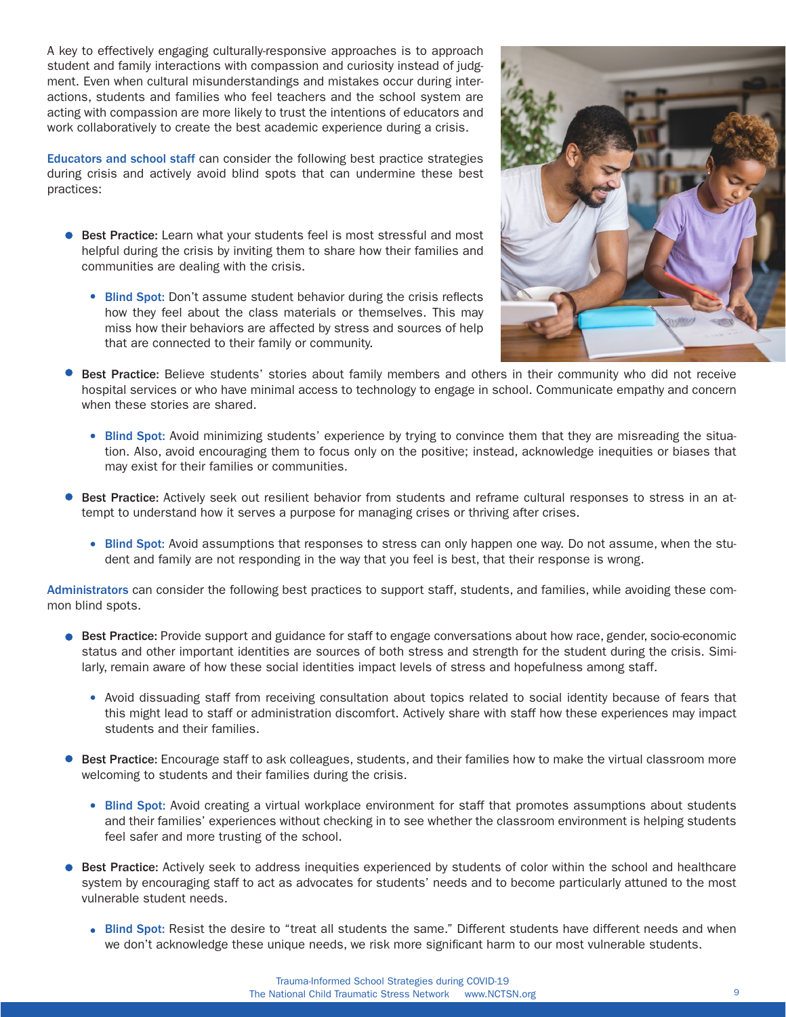A key to effectively engaging culturally-responsive approaches is to approach student and family interactions with compassion and curiosity instead of judgment. Even when cultural misunderstandings and mistakes occur during interactions, students and families who feel teachers and the school system are acting with compassion are more likely to trust the intentions of educators and work collaboratively to create the best academic experience during a crisis.

Educators and school staff can consider the following best practice strategies during crisis and actively avoid blind spots that can undermine these best practices:

- **Best Practice:** Learn what your students feel is most stressful and most helpful during the crisis by inviting them to share how their families and communities are dealing with the crisis.
	- Blind Spot: Don't assume student behavior during the crisis reflects how they feel about the class materials or themselves. This may miss how their behaviors are affected by stress and sources of help that are connected to their family or community.



- Best Practice: Believe students' stories about family members and others in their community who did not receive hospital services or who have minimal access to technology to engage in school. Communicate empathy and concern when these stories are shared.
	- Blind Spot: Avoid minimizing students' experience by trying to convince them that they are misreading the situation. Also, avoid encouraging them to focus only on the positive; instead, acknowledge inequities or biases that may exist for their families or communities.
- Best Practice: Actively seek out resilient behavior from students and reframe cultural responses to stress in an attempt to understand how it serves a purpose for managing crises or thriving after crises.
	- Blind Spot: Avoid assumptions that responses to stress can only happen one way. Do not assume, when the student and family are not responding in the way that you feel is best, that their response is wrong.

Administrators can consider the following best practices to support staff, students, and families, while avoiding these common blind spots.

- **Best Practice:** Provide support and guidance for staff to engage conversations about how race, gender, socio-economic status and other important identities are sources of both stress and strength for the student during the crisis. Similarly, remain aware of how these social identities impact levels of stress and hopefulness among staff.
	- Avoid dissuading staff from receiving consultation about topics related to social identity because of fears that this might lead to staff or administration discomfort. Actively share with staff how these experiences may impact students and their families.
- **Best Practice:** Encourage staff to ask colleagues, students, and their families how to make the virtual classroom more welcoming to students and their families during the crisis.
	- Blind Spot: Avoid creating a virtual workplace environment for staff that promotes assumptions about students and their families' experiences without checking in to see whether the classroom environment is helping students feel safer and more trusting of the school.
- **Best Practice:** Actively seek to address inequities experienced by students of color within the school and healthcare system by encouraging staff to act as advocates for students' needs and to become particularly attuned to the most vulnerable student needs.
	- Blind Spot: Resist the desire to "treat all students the same." Different students have different needs and when we don't acknowledge these unique needs, we risk more significant harm to our most vulnerable students.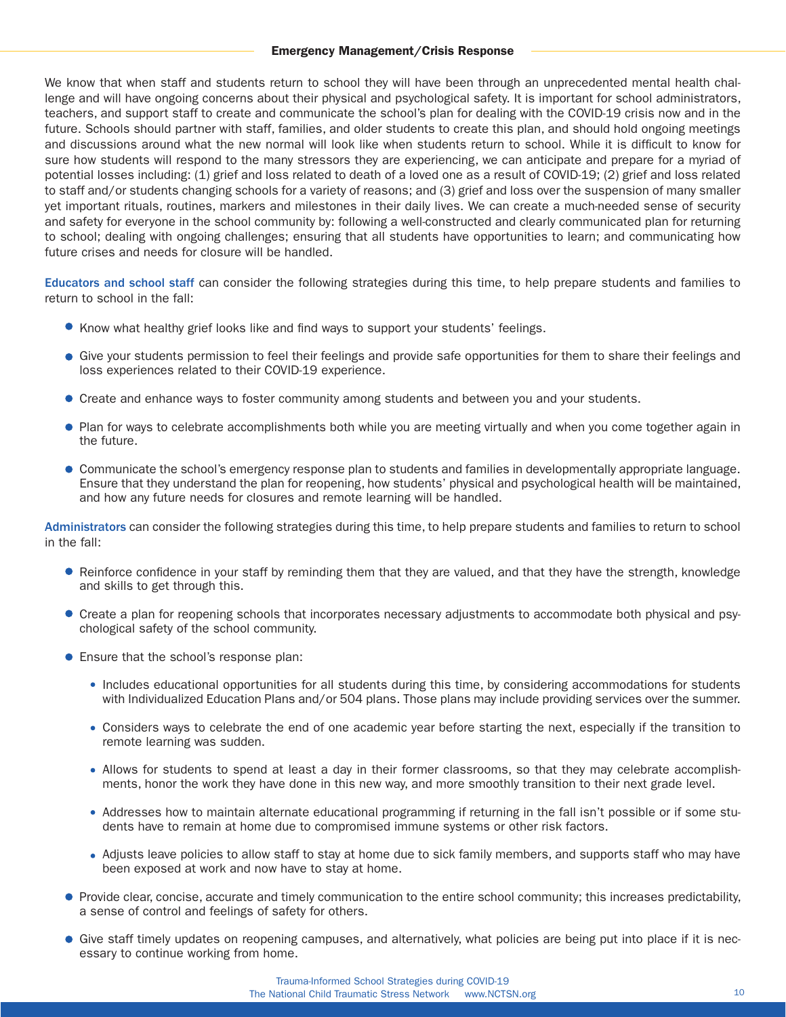## Emergency Management/Crisis Response

We know that when staff and students return to school they will have been through an unprecedented mental health challenge and will have ongoing concerns about their physical and psychological safety. It is important for school administrators, teachers, and support staff to create and communicate the school's plan for dealing with the COVID-19 crisis now and in the future. Schools should partner with staff, families, and older students to create this plan, and should hold ongoing meetings and discussions around what the new normal will look like when students return to school. While it is difficult to know for sure how students will respond to the many stressors they are experiencing, we can anticipate and prepare for a myriad of potential losses including: (1) grief and loss related to death of a loved one as a result of COVID-19; (2) grief and loss related to staff and/or students changing schools for a variety of reasons; and (3) grief and loss over the suspension of many smaller yet important rituals, routines, markers and milestones in their daily lives. We can create a much-needed sense of security and safety for everyone in the school community by: following a well-constructed and clearly communicated plan for returning to school; dealing with ongoing challenges; ensuring that all students have opportunities to learn; and communicating how future crises and needs for closure will be handled.

Educators and school staff can consider the following strategies during this time, to help prepare students and families to return to school in the fall:

- Know what healthy grief looks like and find ways to support your students' feelings.
- Give your students permission to feel their feelings and provide safe opportunities for them to share their feelings and loss experiences related to their COVID-19 experience.
- Create and enhance ways to foster community among students and between you and your students.
- Plan for ways to celebrate accomplishments both while you are meeting virtually and when you come together again in the future.
- Communicate the school's emergency response plan to students and families in developmentally appropriate language. Ensure that they understand the plan for reopening, how students' physical and psychological health will be maintained, and how any future needs for closures and remote learning will be handled.

Administrators can consider the following strategies during this time, to help prepare students and families to return to school in the fall:

- Reinforce confidence in your staff by reminding them that they are valued, and that they have the strength, knowledge and skills to get through this.
- Create a plan for reopening schools that incorporates necessary adjustments to accommodate both physical and psychological safety of the school community.
- **•** Ensure that the school's response plan:
	- Includes educational opportunities for all students during this time, by considering accommodations for students with Individualized Education Plans and/or 504 plans. Those plans may include providing services over the summer.
	- Considers ways to celebrate the end of one academic year before starting the next, especially if the transition to remote learning was sudden.
	- Allows for students to spend at least a day in their former classrooms, so that they may celebrate accomplishments, honor the work they have done in this new way, and more smoothly transition to their next grade level.
	- Addresses how to maintain alternate educational programming if returning in the fall isn't possible or if some students have to remain at home due to compromised immune systems or other risk factors.
	- Adjusts leave policies to allow staff to stay at home due to sick family members, and supports staff who may have been exposed at work and now have to stay at home.
- **Provide clear, concise, accurate and timely communication to the entire school community; this increases predictability,** a sense of control and feelings of safety for others.
- Give staff timely updates on reopening campuses, and alternatively, what policies are being put into place if it is necessary to continue working from home.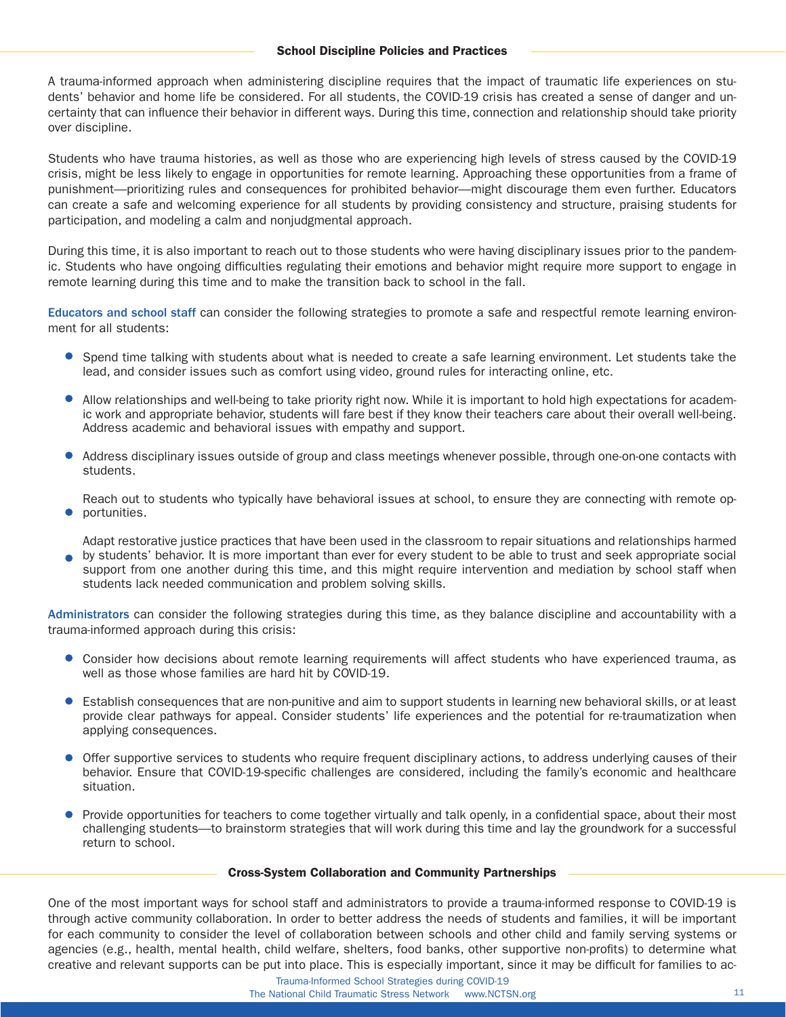A trauma-informed approach when administering discipline requires that the impact of traumatic life experiences on students' behavior and home life be considered. For all students, the COVID-19 crisis has created a sense of danger and uncertainty that can influence their behavior in different ways. During this time, connection and relationship should take priority over discipline.

Students who have trauma histories, as well as those who are experiencing high levels of stress caused by the COVID-19 crisis, might be less likely to engage in opportunities for remote learning. Approaching these opportunities from a frame of punishment—prioritizing rules and consequences for prohibited behavior—might discourage them even further. Educators can create a safe and welcoming experience for all students by providing consistency and structure, praising students for participation, and modeling a calm and nonjudgmental approach.

During this time, it is also important to reach out to those students who were having disciplinary issues prior to the pandemic. Students who have ongoing difficulties regulating their emotions and behavior might require more support to engage in remote learning during this time and to make the transition back to school in the fall.

Educators and school staff can consider the following strategies to promote a safe and respectful remote learning environment for all students:

- Spend time talking with students about what is needed to create a safe learning environment. Let students take the lead, and consider issues such as comfort using video, ground rules for interacting online, etc.
- Allow relationships and well-being to take priority right now. While it is important to hold high expectations for academic work and appropriate behavior, students will fare best if they know their teachers care about their overall well-being. Address academic and behavioral issues with empathy and support.
- Address disciplinary issues outside of group and class meetings whenever possible, through one-on-one contacts with students.

Reach out to students who typically have behavioral issues at school, to ensure they are connecting with remote op-**•** portunities.

Adapt restorative justice practices that have been used in the classroom to repair situations and relationships harmed by students' behavior. It is more important than ever for every student to be able to trust and seek appropriate social support from one another during this time, and this might require intervention and mediation by school staff when students lack needed communication and problem solving skills.

Administrators can consider the following strategies during this time, as they balance discipline and accountability with a trauma-informed approach during this crisis:

- Consider how decisions about remote learning requirements will affect students who have experienced trauma, as well as those whose families are hard hit by COVID-19.
- Establish consequences that are non-punitive and aim to support students in learning new behavioral skills, or at least provide clear pathways for appeal. Consider students' life experiences and the potential for re-traumatization when applying consequences.
- Offer supportive services to students who require frequent disciplinary actions, to address underlying causes of their behavior. Ensure that COVID-19-specific challenges are considered, including the family's economic and healthcare situation.
- **Provide opportunities for teachers to come together virtually and talk openly, in a confidential space, about their most** challenging students—to brainstorm strategies that will work during this time and lay the groundwork for a successful return to school.

# Cross-System Collaboration and Community Partnerships

One of the most important ways for school staff and administrators to provide a trauma-informed response to COVID-19 is through active community collaboration. In order to better address the needs of students and families, it will be important for each community to consider the level of collaboration between schools and other child and family serving systems or agencies (e.g., health, mental health, child welfare, shelters, food banks, other supportive non-profits) to determine what creative and relevant supports can be put into place. This is especially important, since it may be difficult for families to ac